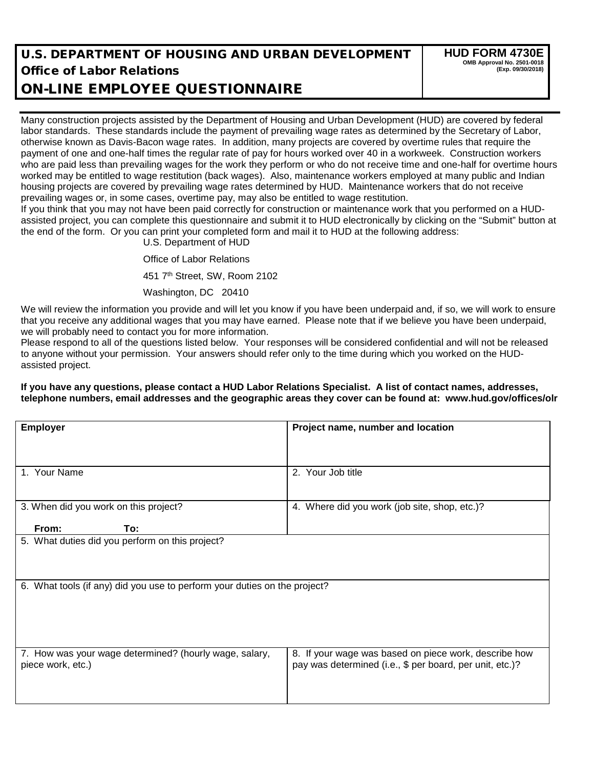## U.S. DEPARTMENT OF HOUSING AND URBAN DEVELOPMENT Office of Labor Relations

ON-LINE EMPLOYEE QUESTIONNAIRE

Many construction projects assisted by the Department of Housing and Urban Development (HUD) are covered by federal labor standards. These standards include the payment of prevailing wage rates as determined by the Secretary of Labor, otherwise known as Davis-Bacon wage rates. In addition, many projects are covered by overtime rules that require the payment of one and one-half times the regular rate of pay for hours worked over 40 in a workweek. Construction workers who are paid less than prevailing wages for the work they perform or who do not receive time and one-half for overtime hours worked may be entitled to wage restitution (back wages). Also, maintenance workers employed at many public and Indian housing projects are covered by prevailing wage rates determined by HUD. Maintenance workers that do not receive prevailing wages or, in some cases, overtime pay, may also be entitled to wage restitution.

If you think that you may not have been paid correctly for construction or maintenance work that you performed on a HUDassisted project, you can complete this questionnaire and submit it to HUD electronically by clicking on the "Submit" button at the end of the form. Or you can print your completed form and mail it to HUD at the following address:

U.S. Department of HUD

Office of Labor Relations

451 7th Street, SW, Room 2102

Washington, DC 20410

We will review the information you provide and will let you know if you have been underpaid and, if so, we will work to ensure that you receive any additional wages that you may have earned. Please note that if we believe you have been underpaid, we will probably need to contact you for more information.

Please respond to all of the questions listed below. Your responses will be considered confidential and will not be released to anyone without your permission. Your answers should refer only to the time during which you worked on the HUDassisted project.

## **If you have any questions, please contact a HUD Labor Relations Specialist. A list of contact names, addresses, telephone numbers, email addresses and the geographic areas they cover can be found at: www.hud.gov/offices/olr**

| <b>Employer</b>                                                             | Project name, number and location                                                                                 |  |  |
|-----------------------------------------------------------------------------|-------------------------------------------------------------------------------------------------------------------|--|--|
|                                                                             |                                                                                                                   |  |  |
| 1. Your Name                                                                | 2. Your Job title                                                                                                 |  |  |
|                                                                             |                                                                                                                   |  |  |
| 3. When did you work on this project?                                       | 4. Where did you work (job site, shop, etc.)?                                                                     |  |  |
| From:<br>To:                                                                |                                                                                                                   |  |  |
| 5. What duties did you perform on this project?                             |                                                                                                                   |  |  |
|                                                                             |                                                                                                                   |  |  |
| 6. What tools (if any) did you use to perform your duties on the project?   |                                                                                                                   |  |  |
|                                                                             |                                                                                                                   |  |  |
|                                                                             |                                                                                                                   |  |  |
|                                                                             |                                                                                                                   |  |  |
| 7. How was your wage determined? (hourly wage, salary,<br>piece work, etc.) | 8. If your wage was based on piece work, describe how<br>pay was determined (i.e., \$ per board, per unit, etc.)? |  |  |
|                                                                             |                                                                                                                   |  |  |
|                                                                             |                                                                                                                   |  |  |